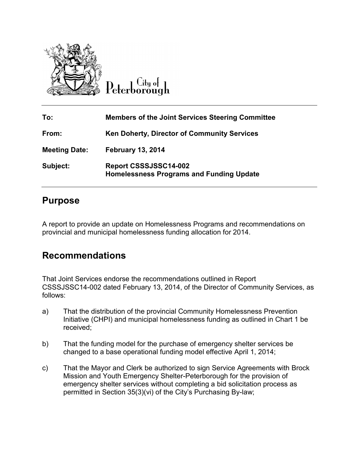

Lity of

| To:                  | <b>Members of the Joint Services Steering Committee</b>                  |
|----------------------|--------------------------------------------------------------------------|
| From:                | Ken Doherty, Director of Community Services                              |
| <b>Meeting Date:</b> | <b>February 13, 2014</b>                                                 |
| Subject:             | Report CSSSJSSC14-002<br><b>Homelessness Programs and Funding Update</b> |

### **Purpose**

A report to provide an update on Homelessness Programs and recommendations on provincial and municipal homelessness funding allocation for 2014.

### **Recommendations**

That Joint Services endorse the recommendations outlined in Report CSSSJSSC14-002 dated February 13, 2014, of the Director of Community Services, as follows:

- a) That the distribution of the provincial Community Homelessness Prevention Initiative (CHPI) and municipal homelessness funding as outlined in Chart 1 be received;
- b) That the funding model for the purchase of emergency shelter services be changed to a base operational funding model effective April 1, 2014;
- c) That the Mayor and Clerk be authorized to sign Service Agreements with Brock Mission and Youth Emergency Shelter-Peterborough for the provision of emergency shelter services without completing a bid solicitation process as permitted in Section 35(3)(vi) of the City's Purchasing By-law;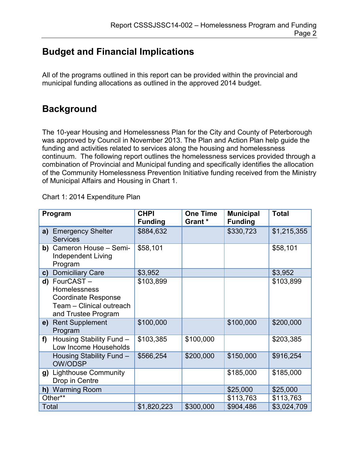## **Budget and Financial Implications**

All of the programs outlined in this report can be provided within the provincial and municipal funding allocations as outlined in the approved 2014 budget.

### **Background**

The 10-year Housing and Homelessness Plan for the City and County of Peterborough was approved by Council in November 2013. The Plan and Action Plan help guide the funding and activities related to services along the housing and homelessness continuum. The following report outlines the homelessness services provided through a combination of Provincial and Municipal funding and specifically identifies the allocation of the Community Homelessness Prevention Initiative funding received from the Ministry of Municipal Affairs and Housing in Chart 1.

Chart 1: 2014 Expenditure Plan

| Program |                                                                                                               | <b>CHPI</b><br><b>Funding</b> | <b>One Time</b><br>Grant * | <b>Municipal</b><br><b>Funding</b> | <b>Total</b> |
|---------|---------------------------------------------------------------------------------------------------------------|-------------------------------|----------------------------|------------------------------------|--------------|
| a)      | <b>Emergency Shelter</b><br><b>Services</b>                                                                   | \$884,632                     |                            | \$330,723                          | \$1,215,355  |
| b)      | Cameron House - Semi-<br><b>Independent Living</b><br>Program                                                 | \$58,101                      |                            |                                    | \$58,101     |
| C)      | <b>Domiciliary Care</b>                                                                                       | \$3,952                       |                            |                                    | \$3,952      |
|         | d) FourCAST-<br>Homelessness<br><b>Coordinate Response</b><br>Team - Clinical outreach<br>and Trustee Program | \$103,899                     |                            |                                    | \$103,899    |
|         | e) Rent Supplement<br>Program                                                                                 | \$100,000                     |                            | \$100,000                          | \$200,000    |
| f)      | Housing Stability Fund -<br>Low Income Households                                                             | \$103,385                     | \$100,000                  |                                    | \$203,385    |
|         | Housing Stability Fund -<br><b>OW/ODSP</b>                                                                    | \$566,254                     | \$200,000                  | \$150,000                          | \$916,254    |
| g)      | <b>Lighthouse Community</b><br>Drop in Centre                                                                 |                               |                            | \$185,000                          | \$185,000    |
|         | h) Warming Room                                                                                               |                               |                            | \$25,000                           | \$25,000     |
| Other** |                                                                                                               |                               |                            | \$113,763                          | \$113,763    |
| Total   |                                                                                                               | \$1,820,223                   | \$300,000                  | \$904,486                          | \$3,024,709  |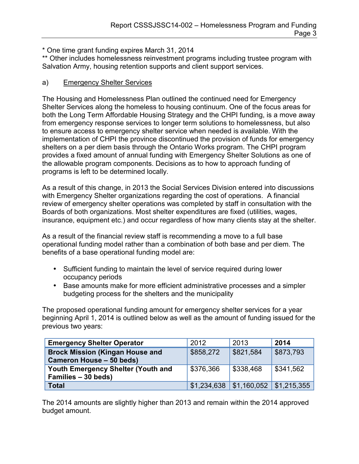\* One time grant funding expires March 31, 2014

\*\* Other includes homelessness reinvestment programs including trustee program with Salvation Army, housing retention supports and client support services.

#### a) Emergency Shelter Services

The Housing and Homelessness Plan outlined the continued need for Emergency Shelter Services along the homeless to housing continuum. One of the focus areas for both the Long Term Affordable Housing Strategy and the CHPI funding, is a move away from emergency response services to longer term solutions to homelessness, but also to ensure access to emergency shelter service when needed is available. With the implementation of CHPI the province discontinued the provision of funds for emergency shelters on a per diem basis through the Ontario Works program. The CHPI program provides a fixed amount of annual funding with Emergency Shelter Solutions as one of the allowable program components. Decisions as to how to approach funding of programs is left to be determined locally.

As a result of this change, in 2013 the Social Services Division entered into discussions with Emergency Shelter organizations regarding the cost of operations. A financial review of emergency shelter operations was completed by staff in consultation with the Boards of both organizations. Most shelter expenditures are fixed (utilities, wages, insurance, equipment etc.) and occur regardless of how many clients stay at the shelter.

As a result of the financial review staff is recommending a move to a full base operational funding model rather than a combination of both base and per diem. The benefits of a base operational funding model are:

- Sufficient funding to maintain the level of service required during lower occupancy periods
- Base amounts make for more efficient administrative processes and a simpler budgeting process for the shelters and the municipality

The proposed operational funding amount for emergency shelter services for a year beginning April 1, 2014 is outlined below as well as the amount of funding issued for the previous two years:

| <b>Emergency Shelter Operator</b>                                  | 2012      | 2013                                   | 2014      |
|--------------------------------------------------------------------|-----------|----------------------------------------|-----------|
| <b>Brock Mission (Kingan House and</b><br>Cameron House - 50 beds) | \$858,272 | \$821,584                              | \$873,793 |
| Youth Emergency Shelter (Youth and<br>Families - 30 beds)          | \$376,366 | \$338,468                              | \$341,562 |
| <b>Total</b>                                                       |           | $$1,234,638$ $$1,160,052$ $$1,215,355$ |           |

The 2014 amounts are slightly higher than 2013 and remain within the 2014 approved budget amount.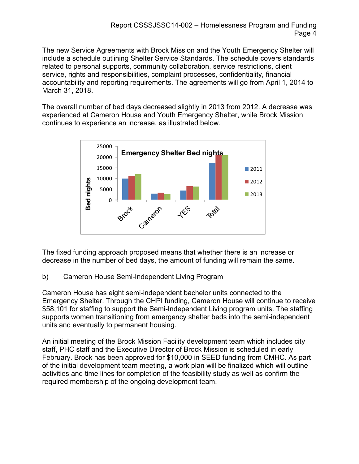The new Service Agreements with Brock Mission and the Youth Emergency Shelter will include a schedule outlining Shelter Service Standards. The schedule covers standards related to personal supports, community collaboration, service restrictions, client service, rights and responsibilities, complaint processes, confidentiality, financial accountability and reporting requirements. The agreements will go from April 1, 2014 to March 31, 2018.

The overall number of bed days decreased slightly in 2013 from 2012. A decrease was experienced at Cameron House and Youth Emergency Shelter, while Brock Mission continues to experience an increase, as illustrated below.



The fixed funding approach proposed means that whether there is an increase or decrease in the number of bed days, the amount of funding will remain the same.

#### b) Cameron House Semi-Independent Living Program

Cameron House has eight semi-independent bachelor units connected to the Emergency Shelter. Through the CHPI funding, Cameron House will continue to receive \$58,101 for staffing to support the Semi-Independent Living program units. The staffing supports women transitioning from emergency shelter beds into the semi-independent units and eventually to permanent housing.

An initial meeting of the Brock Mission Facility development team which includes city staff, PHC staff and the Executive Director of Brock Mission is scheduled in early February. Brock has been approved for \$10,000 in SEED funding from CMHC. As part of the initial development team meeting, a work plan will be finalized which will outline activities and time lines for completion of the feasibility study as well as confirm the required membership of the ongoing development team.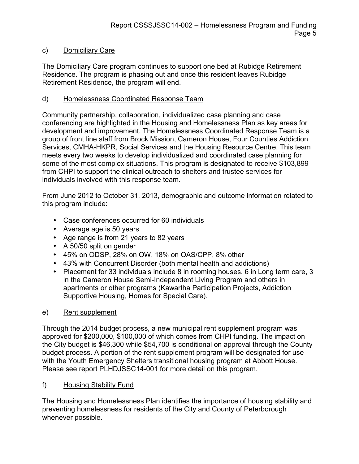#### c) Domiciliary Care

The Domiciliary Care program continues to support one bed at Rubidge Retirement Residence. The program is phasing out and once this resident leaves Rubidge Retirement Residence, the program will end.

#### d) Homelessness Coordinated Response Team

Community partnership, collaboration, individualized case planning and case conferencing are highlighted in the Housing and Homelessness Plan as key areas for development and improvement. The Homelessness Coordinated Response Team is a group of front line staff from Brock Mission, Cameron House, Four Counties Addiction Services, CMHA-HKPR, Social Services and the Housing Resource Centre. This team meets every two weeks to develop individualized and coordinated case planning for some of the most complex situations. This program is designated to receive \$103,899 from CHPI to support the clinical outreach to shelters and trustee services for individuals involved with this response team.

From June 2012 to October 31, 2013, demographic and outcome information related to this program include:

- Case conferences occurred for 60 individuals
- Average age is 50 years
- Age range is from 21 years to 82 years
- A 50/50 split on gender
- 45% on ODSP, 28% on OW, 18% on OAS/CPP, 8% other
- 43% with Concurrent Disorder (both mental health and addictions)
- Placement for 33 individuals include 8 in rooming houses, 6 in Long term care, 3 in the Cameron House Semi-Independent Living Program and others in apartments or other programs (Kawartha Participation Projects, Addiction Supportive Housing, Homes for Special Care).

### e) Rent supplement

Through the 2014 budget process, a new municipal rent supplement program was approved for \$200,000, \$100,000 of which comes from CHPI funding. The impact on the City budget is \$46,300 while \$54,700 is conditional on approval through the County budget process. A portion of the rent supplement program will be designated for use with the Youth Emergency Shelters transitional housing program at Abbott House. Please see report PLHDJSSC14-001 for more detail on this program.

f) Housing Stability Fund

The Housing and Homelessness Plan identifies the importance of housing stability and preventing homelessness for residents of the City and County of Peterborough whenever possible.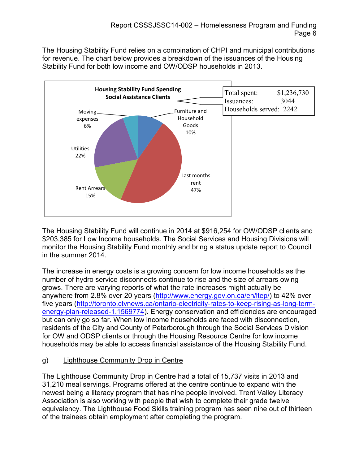The Housing Stability Fund relies on a combination of CHPI and municipal contributions for revenue. The chart below provides a breakdown of the issuances of the Housing Stability Fund for both low income and OW/ODSP households in 2013.



The Housing Stability Fund will continue in 2014 at \$916,254 for OW/ODSP clients and \$203,385 for Low Income households. The Social Services and Housing Divisions will monitor the Housing Stability Fund monthly and bring a status update report to Council in the summer 2014.

The increase in energy costs is a growing concern for low income households as the number of hydro service disconnects continue to rise and the size of arrears owing grows. There are varying reports of what the rate increases might actually be – anywhere from 2.8% over 20 years [\(http://www.energy.gov.on.ca/en/ltep/\)](http://www.energy.gov.on.ca/en/ltep/) to 42% over five years [\(http://toronto.ctvnews.ca/ontario-electricity-rates-to-keep-rising-as-long-term](http://toronto.ctvnews.ca/ontario-electricity-rates-to-keep-rising-as-long-term-energy-plan-released-1.1569774)[energy-plan-released-1.1569774\)](http://toronto.ctvnews.ca/ontario-electricity-rates-to-keep-rising-as-long-term-energy-plan-released-1.1569774). Energy conservation and efficiencies are encouraged but can only go so far. When low income households are faced with disconnection, residents of the City and County of Peterborough through the Social Services Division for OW and ODSP clients or through the Housing Resource Centre for low income households may be able to access financial assistance of the Housing Stability Fund.

#### g) Lighthouse Community Drop in Centre

The Lighthouse Community Drop in Centre had a total of 15,737 visits in 2013 and 31,210 meal servings. Programs offered at the centre continue to expand with the newest being a literacy program that has nine people involved. Trent Valley Literacy Association is also working with people that wish to complete their grade twelve equivalency. The Lighthouse Food Skills training program has seen nine out of thirteen of the trainees obtain employment after completing the program.